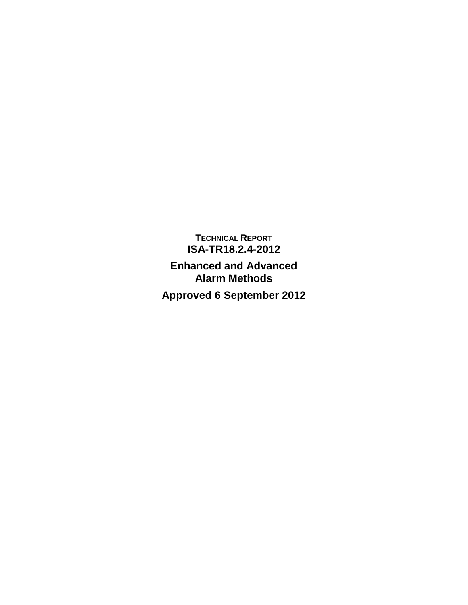**TECHNICAL REPORT ISA-TR18.2.4-2012**

**Enhanced and Advanced Alarm Methods**

**Approved 6 September 2012**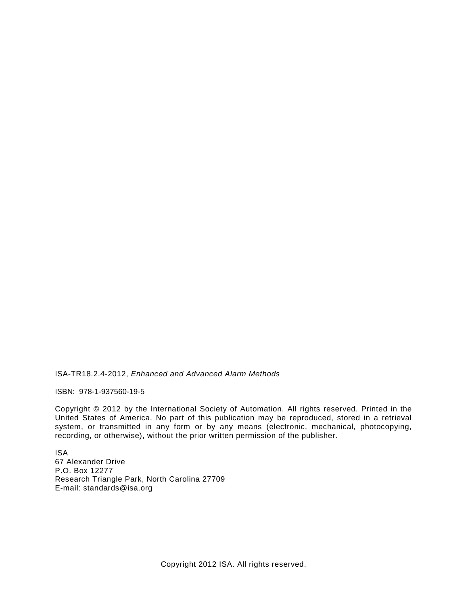ISA-TR18.2.4-2012, *Enhanced and Advanced Alarm Methods*

ISBN: 978-1-937560-19-5

Copyright © 2012 by the International Society of Automation. All rights reserved. Printed in the United States of America. No part of this publication may be reproduced, stored in a retrieval system, or transmitted in any form or by any means (electronic, mechanical, photocopying, recording, or otherwise), without the prior written permission of the publisher.

ISA 67 Alexander Drive P.O. Box 12277 Research Triangle Park, North Carolina 27709 E-mail: standards@isa.org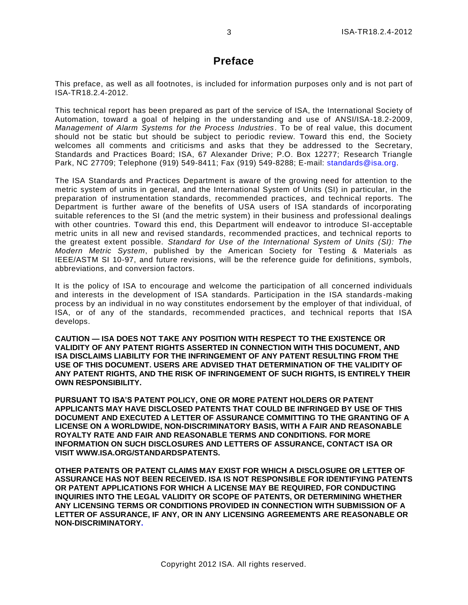# **Preface**

This preface, as well as all footnotes, is included for information purposes only and is not part of ISA-TR18.2.4-2012.

This technical report has been prepared as part of the service of ISA, the International Society of Automation, toward a goal of helping in the understanding and use of ANSI/ISA-18.2-2009, *Management of Alarm Systems for the Process Industries*. To be of real value, this document should not be static but should be subject to periodic review. Toward this end, the Society welcomes all comments and criticisms and asks that they be addressed to the Secretary, Standards and Practices Board; ISA, 67 Alexander Drive; P.O. Box 12277; Research Triangle Park, NC 27709; Telephone (919) 549-8411; Fax (919) 549-8288; E-mail: [standards@isa.org.](mailto:standards@isa.org)

The ISA Standards and Practices Department is aware of the growing need for attention to the metric system of units in general, and the International System of Units (SI) in particular, in the preparation of instrumentation standards, recommended practices, and technical reports. The Department is further aware of the benefits of USA users of ISA standards of incorporating suitable references to the SI (and the metric system) in their business and professional dealings with other countries. Toward this end, this Department will endeavor to introduce SI-acceptable metric units in all new and revised standards, recommended practices, and technical reports to the greatest extent possible. *Standard for Use of the International System of Units (SI): The Modern Metric System*, published by the American Society for Testing & Materials as IEEE/ASTM SI 10-97, and future revisions, will be the reference guide for definitions, symbols, abbreviations, and conversion factors.

It is the policy of ISA to encourage and welcome the participation of all concerned individuals and interests in the development of ISA standards. Participation in the ISA standards -making process by an individual in no way constitutes endorsement by the employer of that individual, of ISA, or of any of the standards, recommended practices, and technical reports that ISA develops.

**CAUTION — ISA DOES NOT TAKE ANY POSITION WITH RESPECT TO THE EXISTENCE OR VALIDITY OF ANY PATENT RIGHTS ASSERTED IN CONNECTION WITH THIS DOCUMENT, AND ISA DISCLAIMS LIABILITY FOR THE INFRINGEMENT OF ANY PATENT RESULTING FROM THE USE OF THIS DOCUMENT. USERS ARE ADVISED THAT DETERMINATION OF THE VALIDITY OF ANY PATENT RIGHTS, AND THE RISK OF INFRINGEMENT OF SUCH RIGHTS, IS ENTIRELY THEIR OWN RESPONSIBILITY.** 

**PURSUANT TO ISA'S PATENT POLICY, ONE OR MORE PATENT HOLDERS OR PATENT APPLICANTS MAY HAVE DISCLOSED PATENTS THAT COULD BE INFRINGED BY USE OF THIS DOCUMENT AND EXECUTED A LETTER OF ASSURANCE COMMITTING TO THE GRANTING OF A LICENSE ON A WORLDWIDE, NON-DISCRIMINATORY BASIS, WITH A FAIR AND REASONABLE ROYALTY RATE AND FAIR AND REASONABLE TERMS AND CONDITIONS. FOR MORE INFORMATION ON SUCH DISCLOSURES AND LETTERS OF ASSURANCE, CONTACT ISA OR VISIT [WWW.ISA.ORG/STANDARDSPATENTS.](http://www.isa.org/StandardsPatents)**

**OTHER PATENTS OR PATENT CLAIMS MAY EXIST FOR WHICH A DISCLOSURE OR LETTER OF ASSURANCE HAS NOT BEEN RECEIVED. ISA IS NOT RESPONSIBLE FOR IDENTIFYING PATENTS OR PATENT APPLICATIONS FOR WHICH A LICENSE MAY BE REQUIRED, FOR CONDUCTING INQUIRIES INTO THE LEGAL VALIDITY OR SCOPE OF PATENTS, OR DETERMINING WHETHER ANY LICENSING TERMS OR CONDITIONS PROVIDED IN CONNECTION WITH SUBMISSION OF A LETTER OF ASSURANCE, IF ANY, OR IN ANY LICENSING AGREEMENTS ARE REASONABLE OR NON-DISCRIMINATORY.**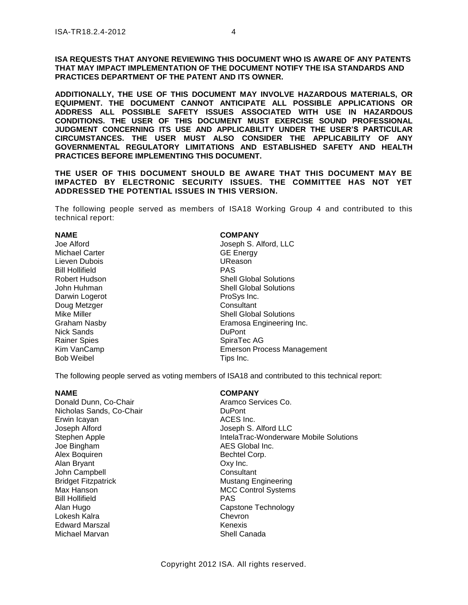**ISA REQUESTS THAT ANYONE REVIEWING THIS DOCUMENT WHO IS AWARE OF ANY PATENTS THAT MAY IMPACT IMPLEMENTATION OF THE DOCUMENT NOTIFY THE ISA STANDARDS AND PRACTICES DEPARTMENT OF THE PATENT AND ITS OWNER.**

**ADDITIONALLY, THE USE OF THIS DOCUMENT MAY INVOLVE HAZARDOUS MATERIALS, OR EQUIPMENT. THE DOCUMENT CANNOT ANTICIPATE ALL POSSIBLE APPLICATIONS OR ADDRESS ALL POSSIBLE SAFETY ISSUES ASSOCIATED WITH USE IN HAZARDOUS CONDITIONS. THE USER OF THIS DOCUMENT MUST EXERCISE SOUND PROFESSIONAL JUDGMENT CONCERNING ITS USE AND APPLICABILITY UNDER THE USER'S PARTICULAR CIRCUMSTANCES. THE USER MUST ALSO CONSIDER THE APPLICABILITY OF ANY GOVERNMENTAL REGULATORY LIMITATIONS AND ESTABLISHED SAFETY AND HEALTH PRACTICES BEFORE IMPLEMENTING THIS DOCUMENT.**

**THE USER OF THIS DOCUMENT SHOULD BE AWARE THAT THIS DOCUMENT MAY BE IMPACTED BY ELECTRONIC SECURITY ISSUES. THE COMMITTEE HAS NOT YET ADDRESSED THE POTENTIAL ISSUES IN THIS VERSION.**

The following people served as members of ISA18 Working Group 4 and contributed to this technical report:

Michael Carter GE Energy Lieven Dubois **Disk Communist Communist Communist Communist Communist Communist Communist Communist Communist Communist Communist Communist Communist Communist Communist Communist Communist Communist Communist Communist Co** Bill Hollifield PAS Darwin Logerot **ProSys Inc.** Doug Metzger Consultant Nick Sands DuPont Rainer Spies SpiraTec AG Bob Weibel **Tips Inc.** 

## **NAME COMPANY**

Joe Alford Joseph S. Alford, LLC Robert Hudson **Shell Global Solutions** John Huhman Shell Global Solutions Mike Miller **Shell Global Solutions** Shell Global Solutions Graham Nasby Eramosa Engineering Inc. Kim VanCamp Emerson Process Management

The following people served as voting members of ISA18 and contributed to this technical report:

Donald Dunn, Co-Chair **Aramco Services Co.** Aramco Services Co. Nicholas Sands, Co-Chair **DuPont** DuPont Erwin Icayan **ACES Inc.**<br>
Joseph Alford **Access ACES** Inc. Joe Bingham AES Global Inc. Alex Boquiren **Bechtel Corp. Bechtel Corp.** Alan Bryant **Canadian Control Control Control Control Control Control Control Control Control Control Control Control Control Control Control Control Control Control Control Control Control Control Control Control Control** John Campbell **Consultant** Bridget Fitzpatrick Mustang Engineering Max Hanson MCC Control Systems Bill Hollifield PAS Alan Hugo Capstone Technology Lokesh Kalra **Chevron** Edward Marszal Kenexis Michael Marvan

**NAME COMPANY** Joseph S. Alford LLC Stephen Apple **IntelaTrac-Wonderware Mobile Solutions**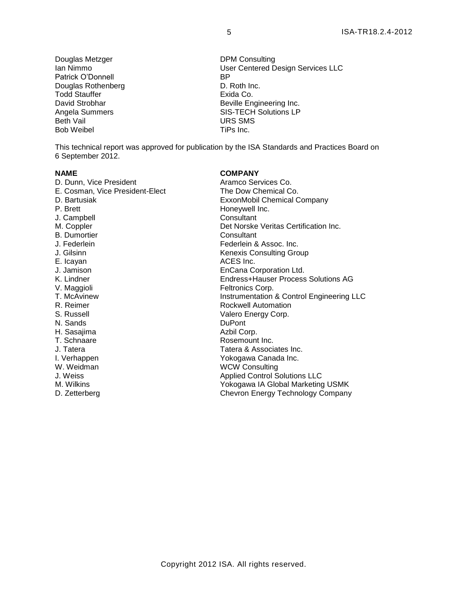- Douglas Metzger **DPM** Consulting Patrick O'Donnell BP Douglas Rothenberg **D.** Roth Inc. Todd Stauffer **Exida Co.** Beth Vail **Beth Vail URS SMS** Bob Weibel **Bob Weibel Tips** Inc.
- Ian Nimmo User Centered Design Services LLC David Strobhar **Beville Engineering Inc.** Angela Summers SIS-TECH Solutions LP

This technical report was approved for publication by the ISA Standards and Practices Board on 6 September 2012.

**NAME COMPANY**<br> **D. Dunn, Vice President COMPANY COMPANY Aramco Services Co.** D. Dunn, Vice President E. Cosman, Vice President-Elect The Dow Chemical Co. D. Bartusiak ExxonMobil Chemical Company P. Brett **Consultant Consultant** Honeywell Inc.<br>
J. Campbell **Honeywell** Consultant J. Campbell M. Coppler **Det Norske Veritas Certification Inc.**<br>
B. Dumortier Consultant Consultant **B.** Dumortier J. Federlein **Federlein & Assoc.** Inc. J. Gilsinn Kenexis Consulting Group J. Jamison EnCana Corporation Ltd. K. Lindner **Endress+Hauser Process Solutions AG** V. Maggioli **Feltronics Corp.** T. McAvinew Instrumentation & Control Engineering LLC R. Reimer **Rockwell** Automation S. Russell **S. Russell** S. Russell **Valero Energy Corp.** N. Sands DuPont H. Sasajima Azbil Corp. T. Schnaare **Rosemount Inc.** J. Tatera Tatera & Associates Inc. I. Verhappen **I. Verhappen Inc.**<br>
W. Weidman **Youther WOW Consulting** J. Weiss **Applied Control Solutions LLC** M. Wilkins Yokogawa IA Global Marketing USMK D. Zetterberg **Chevron Energy Technology Company** 

# ACES Inc.

WCW Consulting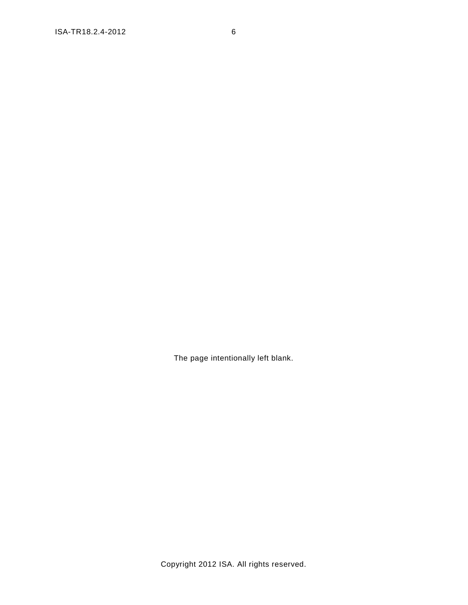The page intentionally left blank.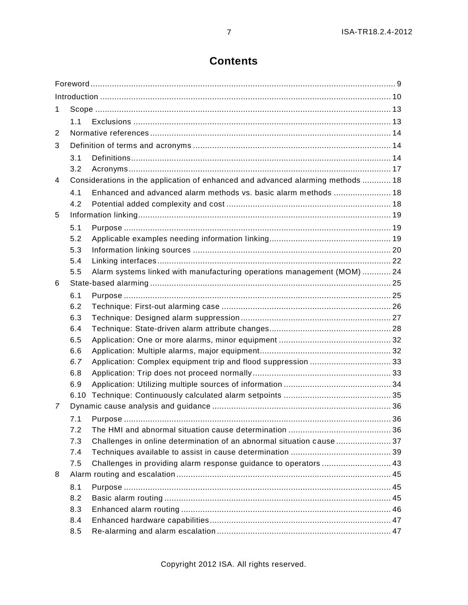# **Contents**

| 1 |             |                                                                                 |  |  |  |  |
|---|-------------|---------------------------------------------------------------------------------|--|--|--|--|
|   | 1.1         |                                                                                 |  |  |  |  |
| 2 |             |                                                                                 |  |  |  |  |
| 3 |             |                                                                                 |  |  |  |  |
|   | 3.1         |                                                                                 |  |  |  |  |
|   | 3.2         |                                                                                 |  |  |  |  |
| 4 |             | Considerations in the application of enhanced and advanced alarming methods  18 |  |  |  |  |
|   | 4.1         | Enhanced and advanced alarm methods vs. basic alarm methods  18                 |  |  |  |  |
|   | 4.2         |                                                                                 |  |  |  |  |
| 5 |             |                                                                                 |  |  |  |  |
|   | 5.1         |                                                                                 |  |  |  |  |
|   | 5.2         |                                                                                 |  |  |  |  |
|   | 5.3         |                                                                                 |  |  |  |  |
|   | 5.4         |                                                                                 |  |  |  |  |
|   | 5.5         | Alarm systems linked with manufacturing operations management (MOM)  24         |  |  |  |  |
| 6 |             |                                                                                 |  |  |  |  |
|   | 6.1         |                                                                                 |  |  |  |  |
|   | 6.2         |                                                                                 |  |  |  |  |
|   | 6.3         |                                                                                 |  |  |  |  |
|   | 6.4         |                                                                                 |  |  |  |  |
|   | 6.5         |                                                                                 |  |  |  |  |
|   | 6.6         |                                                                                 |  |  |  |  |
|   | 6.7         |                                                                                 |  |  |  |  |
|   | 6.8         |                                                                                 |  |  |  |  |
|   | 6.9<br>6.10 |                                                                                 |  |  |  |  |
| 7 |             |                                                                                 |  |  |  |  |
|   | 7.1         |                                                                                 |  |  |  |  |
|   | 7.2         |                                                                                 |  |  |  |  |
|   | 7.3         | Challenges in online determination of an abnormal situation cause  37           |  |  |  |  |
|   | 7.4         |                                                                                 |  |  |  |  |
|   | 7.5         | Challenges in providing alarm response guidance to operators  43                |  |  |  |  |
| 8 |             |                                                                                 |  |  |  |  |
|   | 8.1         |                                                                                 |  |  |  |  |
|   | 8.2         |                                                                                 |  |  |  |  |
|   | 8.3         |                                                                                 |  |  |  |  |
|   | 8.4         |                                                                                 |  |  |  |  |
|   | 8.5         |                                                                                 |  |  |  |  |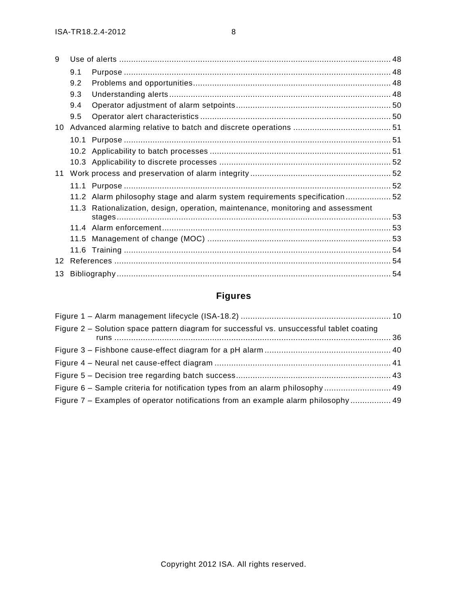| 9  |     |                                                                                 |  |
|----|-----|---------------------------------------------------------------------------------|--|
|    | 9.1 |                                                                                 |  |
|    | 9.2 |                                                                                 |  |
|    | 9.3 |                                                                                 |  |
|    | 9.4 |                                                                                 |  |
|    | 9.5 |                                                                                 |  |
| 10 |     |                                                                                 |  |
|    |     |                                                                                 |  |
|    |     |                                                                                 |  |
|    |     |                                                                                 |  |
| 11 |     |                                                                                 |  |
|    |     |                                                                                 |  |
|    |     | 11.2 Alarm philosophy stage and alarm system requirements specification52       |  |
|    |     | 11.3 Rationalization, design, operation, maintenance, monitoring and assessment |  |
|    |     |                                                                                 |  |
|    |     |                                                                                 |  |
|    |     |                                                                                 |  |
| 12 |     |                                                                                 |  |
| 13 |     |                                                                                 |  |

# **Figures**

| Figure 2 – Solution space pattern diagram for successful vs. unsuccessful tablet coating |  |
|------------------------------------------------------------------------------------------|--|
|                                                                                          |  |
|                                                                                          |  |
|                                                                                          |  |
| Figure 6 – Sample criteria for notification types from an alarm philosophy  49           |  |
| Figure 7 – Examples of operator notifications from an example alarm philosophy  49       |  |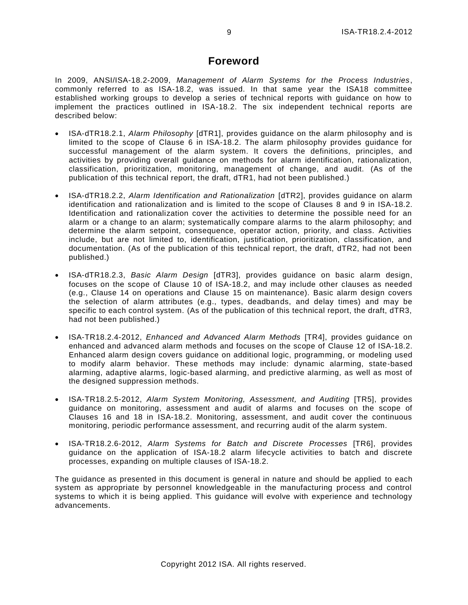# **Foreword**

In 2009, ANSI/ISA-18.2-2009, *Management of Alarm Systems for the Process Industries*, commonly referred to as ISA-18.2, was issued. In that same year the ISA18 committee established working groups to develop a series of technical reports with guidance on how to implement the practices outlined in ISA-18.2. The six independent technical reports are described below:

- ISA-dTR18.2.1, *Alarm Philosophy* [dTR1], provides guidance on the alarm philosophy and is limited to the scope of Clause 6 in ISA-18.2. The alarm philosophy provides guidance for successful management of the alarm system. It covers the definitions, principles, and activities by providing overall guidance on methods for alarm identification, rationalization, classification, prioritization, monitoring, management of change, and audit. (As of the publication of this technical report, the draft, dTR1, had not been published.)
- ISA-dTR18.2.2, *Alarm Identification and Rationalization* [dTR2], provides guidance on alarm identification and rationalization and is limited to the scope of Clauses 8 and 9 in ISA-18.2. Identification and rationalization cover the activities to determine the possible need for an alarm or a change to an alarm; systematically compare alarms to the alarm philosophy; and determine the alarm setpoint, consequence, operator action, priority, and class. Activities include, but are not limited to, identification, justification, prioritization, classification, and documentation. (As of the publication of this technical report, the draft, dTR2, had not been published.)
- ISA-dTR18.2.3, *Basic Alarm Design* [dTR3], provides guidance on basic alarm design, focuses on the scope of Clause 10 of ISA-18.2, and may include other clauses as needed (e.g., Clause 14 on operations and Clause 15 on maintenance). Basic alarm design covers the selection of alarm attributes (e.g., types, deadbands, and delay times) and may be specific to each control system. (As of the publication of this technical report, the draft, dTR3, had not been published.)
- ISA-TR18.2.4-2012, *Enhanced and Advanced Alarm Methods* [TR4], provides guidance on enhanced and advanced alarm methods and focuses on the scope of Clause 12 of ISA-18.2. Enhanced alarm design covers guidance on additional logic, programming, or modeling used to modify alarm behavior. These methods may include: dynamic alarming, state-based alarming, adaptive alarms, logic-based alarming, and predictive alarming, as well as most of the designed suppression methods.
- ISA-TR18.2.5-2012, *Alarm System Monitoring, Assessment, and Auditing* [TR5], provides guidance on monitoring, assessment and audit of alarms and focuses on the scope of Clauses 16 and 18 in ISA-18.2. Monitoring, assessment, and audit cover the continuous monitoring, periodic performance assessment, and recurring audit of the alarm system.
- ISA-TR18.2.6-2012, *Alarm Systems for Batch and Discrete Processes* [TR6], provides guidance on the application of ISA-18.2 alarm lifecycle activities to batch and discrete processes, expanding on multiple clauses of ISA-18.2.

The guidance as presented in this document is general in nature and should be applied to each system as appropriate by personnel knowledgeable in the manufacturing process and control systems to which it is being applied. This guidance will evolve with experience and technology advancements.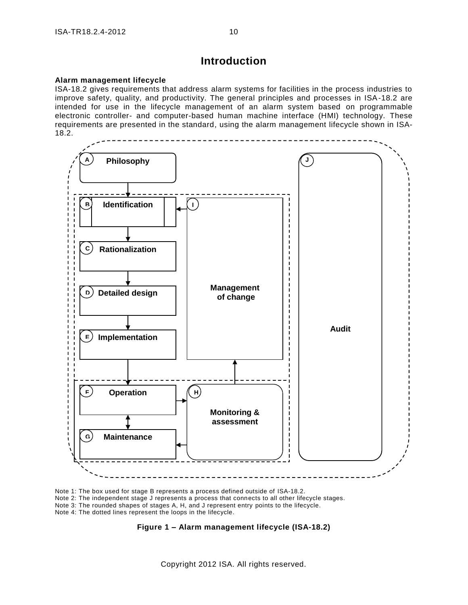# **Introduction**

### **Alarm management lifecycle**

ISA-18.2 gives requirements that address alarm systems for facilities in the process industries to improve safety, quality, and productivity. The general principles and processes in ISA-18.2 are intended for use in the lifecycle management of an alarm system based on programmable electronic controller- and computer-based human machine interface (HMI) technology. These requirements are presented in the standard, using the alarm management lifecycle shown in ISA-18.2.



Note 1: The box used for stage B represents a process defined outside of ISA-18.2.

Note 2: The independent stage J represents a process that connects to all other lifecycle stages.

Note 3: The rounded shapes of stages A, H, and J represent entry points to the lifecycle.

<span id="page-9-0"></span>Note 4: The dotted lines represent the loops in the lifecycle.



Copyright 2012 ISA. All rights reserved.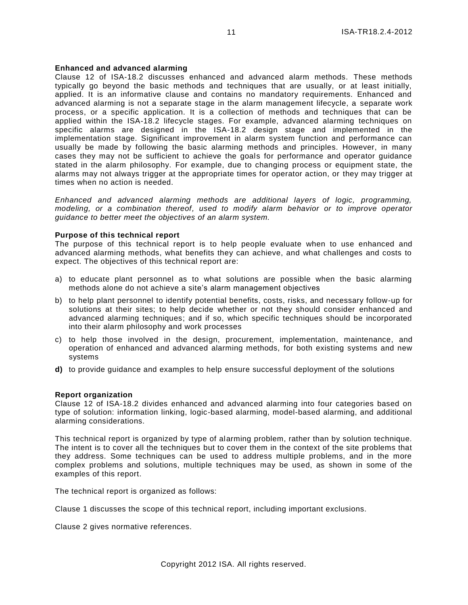# **Enhanced and advanced alarming**

Clause 12 of ISA-18.2 discusses enhanced and advanced alarm methods. These methods typically go beyond the basic methods and techniques that are usually, or at least initially, applied. It is an informative clause and contains no mandatory requirements. Enhanced and advanced alarming is not a separate stage in the alarm management lifecycle, a separate work process, or a specific application. It is a collection of methods and techniques that can be applied within the ISA-18.2 lifecycle stages. For example, advanced alarming techniques on specific alarms are designed in the ISA-18.2 design stage and implemented in the implementation stage. Significant improvement in alarm system function and performance can usually be made by following the basic alarming methods and principles. However, in many cases they may not be sufficient to achieve the goals for performance and operator guidance stated in the alarm philosophy. For example, due to changing process or equipment state, the alarms may not always trigger at the appropriate times for operator action, or they may trigger at times when no action is needed.

*Enhanced and advanced alarming methods are additional layers of logic, programming, modeling, or a combination thereof, used to modify alarm behavior or to improve operator guidance to better meet the objectives of an alarm system.*

# **Purpose of this technical report**

The purpose of this technical report is to help people evaluate when to use enhanced and advanced alarming methods, what benefits they can achieve, and what challenges and costs to expect. The objectives of this technical report are:

- a) to educate plant personnel as to what solutions are possible when the basic alarming methods alone do not achieve a site's alarm management objectives
- b) to help plant personnel to identify potential benefits, costs, risks, and necessary follow-up for solutions at their sites; to help decide whether or not they should consider enhanced and advanced alarming techniques; and if so, which specific techniques should be incorporated into their alarm philosophy and work processes
- c) to help those involved in the design, procurement, implementation, maintenance, and operation of enhanced and advanced alarming methods, for both existing systems and new systems
- **d)** to provide guidance and examples to help ensure successful deployment of the solutions

## **Report organization**

Clause 12 of ISA-18.2 divides enhanced and advanced alarming into four categories based on type of solution: information linking, logic-based alarming, model-based alarming, and additional alarming considerations.

This technical report is organized by type of alarming problem, rather than by solution technique. The intent is to cover all the techniques but to cover them in the context of the site problems that they address. Some techniques can be used to address multiple problems, and in the more complex problems and solutions, multiple techniques may be used, as shown in some of the examples of this report.

The technical report is organized as follows:

Clause 1 discusses the scope of this technical report, including important exclusions.

Clause 2 gives normative references.